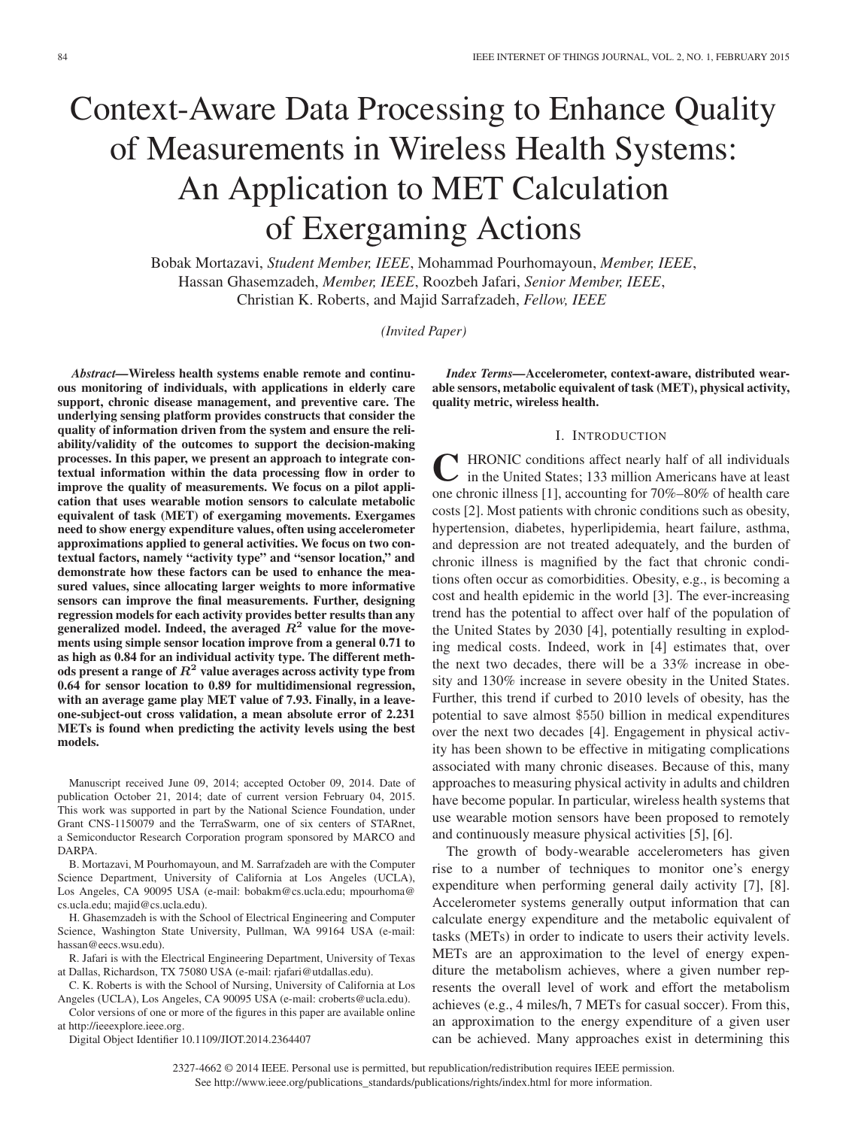# Context-Aware Data Processing to Enhance Quality of Measurements in Wireless Health Systems: An Application to MET Calculation of Exergaming Actions

Bobak Mortazavi, *Student Member, IEEE*, Mohammad Pourhomayoun, *Member, IEEE*, Hassan Ghasemzadeh, *Member, IEEE*, Roozbeh Jafari, *Senior Member, IEEE*, Christian K. Roberts, and Majid Sarrafzadeh, *Fellow, IEEE*

*(Invited Paper)*

*Abstract—***Wireless health systems enable remote and continuous monitoring of individuals, with applications in elderly care support, chronic disease management, and preventive care. The underlying sensing platform provides constructs that consider the quality of information driven from the system and ensure the reliability/validity of the outcomes to support the decision-making processes. In this paper, we present an approach to integrate contextual information within the data processing flow in order to improve the quality of measurements. We focus on a pilot application that uses wearable motion sensors to calculate metabolic equivalent of task (MET) of exergaming movements. Exergames need to show energy expenditure values, often using accelerometer approximations applied to general activities. We focus on two contextual factors, namely "activity type" and "sensor location," and demonstrate how these factors can be used to enhance the measured values, since allocating larger weights to more informative sensors can improve the final measurements. Further, designing regression models for each activity provides better results than any** generalized model. Indeed, the averaged  $R^2$  value for the move**ments using simple sensor location improve from a general 0.71 to as high as 0.84 for an individual activity type. The different methods present a range of** *R***<sup>2</sup> value averages across activity type from 0.64 for sensor location to 0.89 for multidimensional regression, with an average game play MET value of 7.93. Finally, in a leaveone-subject-out cross validation, a mean absolute error of 2.231 METs is found when predicting the activity levels using the best models.**

Manuscript received June 09, 2014; accepted October 09, 2014. Date of publication October 21, 2014; date of current version February 04, 2015. This work was supported in part by the National Science Foundation, under Grant CNS-1150079 and the TerraSwarm, one of six centers of STARnet, a Semiconductor Research Corporation program sponsored by MARCO and DARPA.

B. Mortazavi, M Pourhomayoun, and M. Sarrafzadeh are with the Computer Science Department, University of California at Los Angeles (UCLA), Los Angeles, CA 90095 USA (e-mail: bobakm@cs.ucla.edu; mpourhoma@ cs.ucla.edu; majid@cs.ucla.edu).

H. Ghasemzadeh is with the School of Electrical Engineering and Computer Science, Washington State University, Pullman, WA 99164 USA (e-mail: hassan@eecs.wsu.edu).

R. Jafari is with the Electrical Engineering Department, University of Texas at Dallas, Richardson, TX 75080 USA (e-mail: rjafari@utdallas.edu).

C. K. Roberts is with the School of Nursing, University of California at Los Angeles (UCLA), Los Angeles, CA 90095 USA (e-mail: croberts@ucla.edu).

Color versions of one or more of the figures in this paper are available online at http://ieeexplore.ieee.org.

Digital Object Identifier 10.1109/JIOT.2014.2364407

*Index Terms—***Accelerometer, context-aware, distributed wearable sensors, metabolic equivalent of task (MET), physical activity, quality metric, wireless health.**

#### I. INTRODUCTION

**C** HRONIC conditions affect nearly half of all individuals  $\sim$  in the United States; 133 million Americans have at least one chronic illness [1], accounting for 70%–80% of health care costs [2]. Most patients with chronic conditions such as obesity, hypertension, diabetes, hyperlipidemia, heart failure, asthma, and depression are not treated adequately, and the burden of chronic illness is magnified by the fact that chronic conditions often occur as comorbidities. Obesity, e.g., is becoming a cost and health epidemic in the world [3]. The ever-increasing trend has the potential to affect over half of the population of the United States by 2030 [4], potentially resulting in exploding medical costs. Indeed, work in [4] estimates that, over the next two decades, there will be a 33% increase in obesity and 130% increase in severe obesity in the United States. Further, this trend if curbed to 2010 levels of obesity, has the potential to save almost \$550 billion in medical expenditures over the next two decades [4]. Engagement in physical activity has been shown to be effective in mitigating complications associated with many chronic diseases. Because of this, many approaches to measuring physical activity in adults and children have become popular. In particular, wireless health systems that use wearable motion sensors have been proposed to remotely and continuously measure physical activities [5], [6].

The growth of body-wearable accelerometers has given rise to a number of techniques to monitor one's energy expenditure when performing general daily activity [7], [8]. Accelerometer systems generally output information that can calculate energy expenditure and the metabolic equivalent of tasks (METs) in order to indicate to users their activity levels. METs are an approximation to the level of energy expenditure the metabolism achieves, where a given number represents the overall level of work and effort the metabolism achieves (e.g., 4 miles/h, 7 METs for casual soccer). From this, an approximation to the energy expenditure of a given user can be achieved. Many approaches exist in determining this

2327-4662 © 2014 IEEE. Personal use is permitted, but republication/redistribution requires IEEE permission. See http://www.ieee.org/publications\_standards/publications/rights/index.html for more information.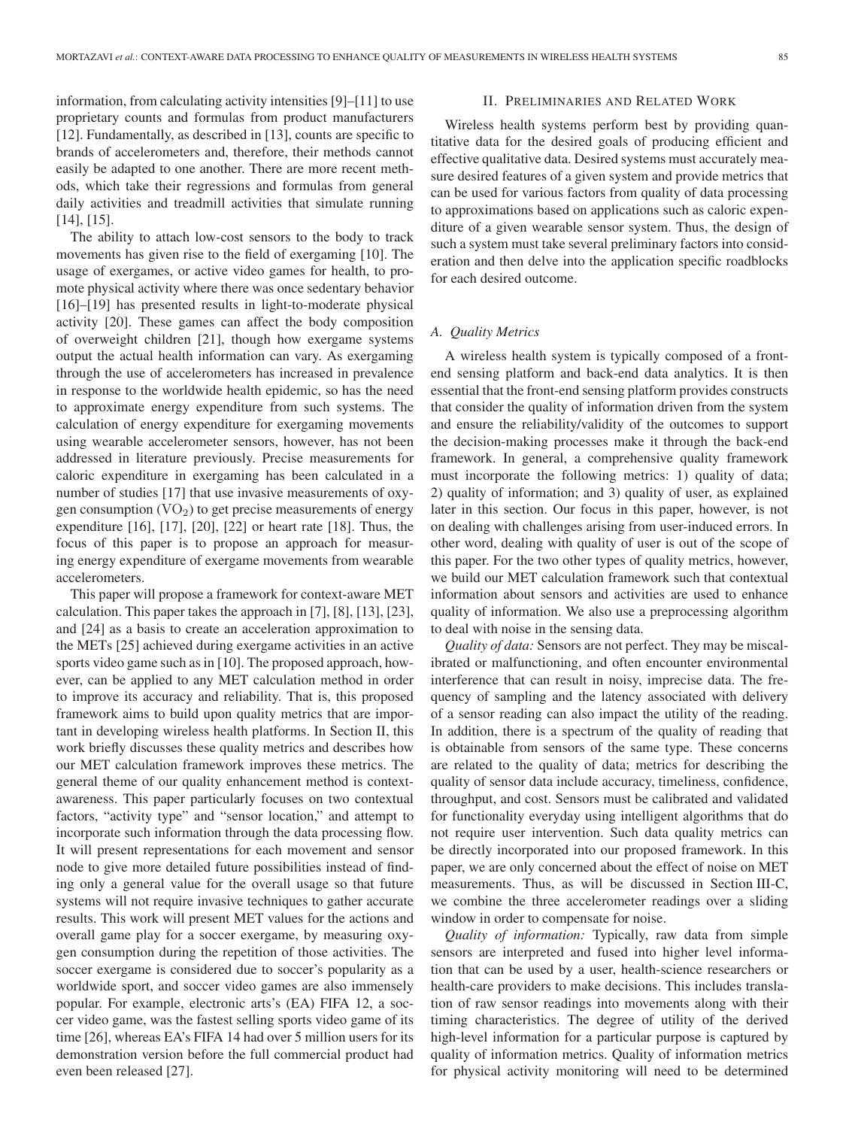information, from calculating activity intensities [9]–[11] to use proprietary counts and formulas from product manufacturers [12]. Fundamentally, as described in [13], counts are specific to brands of accelerometers and, therefore, their methods cannot easily be adapted to one another. There are more recent methods, which take their regressions and formulas from general daily activities and treadmill activities that simulate running [14], [15].

The ability to attach low-cost sensors to the body to track movements has given rise to the field of exergaming [10]. The usage of exergames, or active video games for health, to promote physical activity where there was once sedentary behavior [16]–[19] has presented results in light-to-moderate physical activity [20]. These games can affect the body composition of overweight children [21], though how exergame systems output the actual health information can vary. As exergaming through the use of accelerometers has increased in prevalence in response to the worldwide health epidemic, so has the need to approximate energy expenditure from such systems. The calculation of energy expenditure for exergaming movements using wearable accelerometer sensors, however, has not been addressed in literature previously. Precise measurements for caloric expenditure in exergaming has been calculated in a number of studies [17] that use invasive measurements of oxygen consumption  $(VO<sub>2</sub>)$  to get precise measurements of energy expenditure [16], [17], [20], [22] or heart rate [18]. Thus, the focus of this paper is to propose an approach for measuring energy expenditure of exergame movements from wearable accelerometers.

This paper will propose a framework for context-aware MET calculation. This paper takes the approach in [7], [8], [13], [23], and [24] as a basis to create an acceleration approximation to the METs [25] achieved during exergame activities in an active sports video game such as in [10]. The proposed approach, however, can be applied to any MET calculation method in order to improve its accuracy and reliability. That is, this proposed framework aims to build upon quality metrics that are important in developing wireless health platforms. In Section II, this work briefly discusses these quality metrics and describes how our MET calculation framework improves these metrics. The general theme of our quality enhancement method is contextawareness. This paper particularly focuses on two contextual factors, "activity type" and "sensor location," and attempt to incorporate such information through the data processing flow. It will present representations for each movement and sensor node to give more detailed future possibilities instead of finding only a general value for the overall usage so that future systems will not require invasive techniques to gather accurate results. This work will present MET values for the actions and overall game play for a soccer exergame, by measuring oxygen consumption during the repetition of those activities. The soccer exergame is considered due to soccer's popularity as a worldwide sport, and soccer video games are also immensely popular. For example, electronic arts's (EA) FIFA 12, a soccer video game, was the fastest selling sports video game of its time [26], whereas EA's FIFA 14 had over 5 million users for its demonstration version before the full commercial product had even been released [27].

# II. PRELIMINARIES AND RELATED WORK

Wireless health systems perform best by providing quantitative data for the desired goals of producing efficient and effective qualitative data. Desired systems must accurately measure desired features of a given system and provide metrics that can be used for various factors from quality of data processing to approximations based on applications such as caloric expenditure of a given wearable sensor system. Thus, the design of such a system must take several preliminary factors into consideration and then delve into the application specific roadblocks for each desired outcome.

## *A. Quality Metrics*

A wireless health system is typically composed of a frontend sensing platform and back-end data analytics. It is then essential that the front-end sensing platform provides constructs that consider the quality of information driven from the system and ensure the reliability/validity of the outcomes to support the decision-making processes make it through the back-end framework. In general, a comprehensive quality framework must incorporate the following metrics: 1) quality of data; 2) quality of information; and 3) quality of user, as explained later in this section. Our focus in this paper, however, is not on dealing with challenges arising from user-induced errors. In other word, dealing with quality of user is out of the scope of this paper. For the two other types of quality metrics, however, we build our MET calculation framework such that contextual information about sensors and activities are used to enhance quality of information. We also use a preprocessing algorithm to deal with noise in the sensing data.

*Quality of data:* Sensors are not perfect. They may be miscalibrated or malfunctioning, and often encounter environmental interference that can result in noisy, imprecise data. The frequency of sampling and the latency associated with delivery of a sensor reading can also impact the utility of the reading. In addition, there is a spectrum of the quality of reading that is obtainable from sensors of the same type. These concerns are related to the quality of data; metrics for describing the quality of sensor data include accuracy, timeliness, confidence, throughput, and cost. Sensors must be calibrated and validated for functionality everyday using intelligent algorithms that do not require user intervention. Such data quality metrics can be directly incorporated into our proposed framework. In this paper, we are only concerned about the effect of noise on MET measurements. Thus, as will be discussed in Section III-C, we combine the three accelerometer readings over a sliding window in order to compensate for noise.

*Quality of information:* Typically, raw data from simple sensors are interpreted and fused into higher level information that can be used by a user, health-science researchers or health-care providers to make decisions. This includes translation of raw sensor readings into movements along with their timing characteristics. The degree of utility of the derived high-level information for a particular purpose is captured by quality of information metrics. Quality of information metrics for physical activity monitoring will need to be determined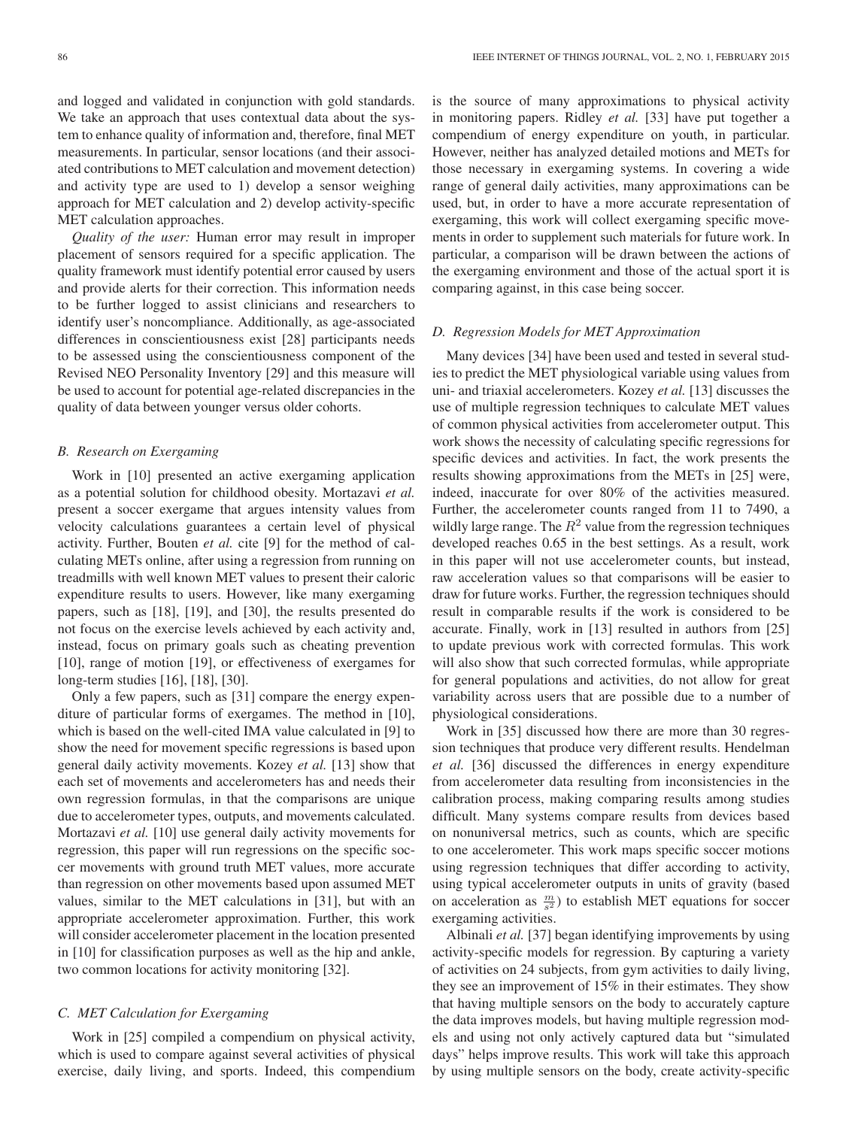and logged and validated in conjunction with gold standards. We take an approach that uses contextual data about the system to enhance quality of information and, therefore, final MET measurements. In particular, sensor locations (and their associated contributions to MET calculation and movement detection) and activity type are used to 1) develop a sensor weighing approach for MET calculation and 2) develop activity-specific MET calculation approaches.

*Quality of the user:* Human error may result in improper placement of sensors required for a specific application. The quality framework must identify potential error caused by users and provide alerts for their correction. This information needs to be further logged to assist clinicians and researchers to identify user's noncompliance. Additionally, as age-associated differences in conscientiousness exist [28] participants needs to be assessed using the conscientiousness component of the Revised NEO Personality Inventory [29] and this measure will be used to account for potential age-related discrepancies in the quality of data between younger versus older cohorts.

## *B. Research on Exergaming*

Work in [10] presented an active exergaming application as a potential solution for childhood obesity. Mortazavi *et al.* present a soccer exergame that argues intensity values from velocity calculations guarantees a certain level of physical activity. Further, Bouten *et al.* cite [9] for the method of calculating METs online, after using a regression from running on treadmills with well known MET values to present their caloric expenditure results to users. However, like many exergaming papers, such as [18], [19], and [30], the results presented do not focus on the exercise levels achieved by each activity and, instead, focus on primary goals such as cheating prevention [10], range of motion [19], or effectiveness of exergames for long-term studies [16], [18], [30].

Only a few papers, such as [31] compare the energy expenditure of particular forms of exergames. The method in [10], which is based on the well-cited IMA value calculated in [9] to show the need for movement specific regressions is based upon general daily activity movements. Kozey *et al.* [13] show that each set of movements and accelerometers has and needs their own regression formulas, in that the comparisons are unique due to accelerometer types, outputs, and movements calculated. Mortazavi *et al.* [10] use general daily activity movements for regression, this paper will run regressions on the specific soccer movements with ground truth MET values, more accurate than regression on other movements based upon assumed MET values, similar to the MET calculations in [31], but with an appropriate accelerometer approximation. Further, this work will consider accelerometer placement in the location presented in [10] for classification purposes as well as the hip and ankle, two common locations for activity monitoring [32].

# *C. MET Calculation for Exergaming*

Work in [25] compiled a compendium on physical activity, which is used to compare against several activities of physical exercise, daily living, and sports. Indeed, this compendium is the source of many approximations to physical activity in monitoring papers. Ridley *et al.* [33] have put together a compendium of energy expenditure on youth, in particular. However, neither has analyzed detailed motions and METs for those necessary in exergaming systems. In covering a wide range of general daily activities, many approximations can be used, but, in order to have a more accurate representation of exergaming, this work will collect exergaming specific movements in order to supplement such materials for future work. In particular, a comparison will be drawn between the actions of the exergaming environment and those of the actual sport it is comparing against, in this case being soccer.

## *D. Regression Models for MET Approximation*

Many devices [34] have been used and tested in several studies to predict the MET physiological variable using values from uni- and triaxial accelerometers. Kozey *et al.* [13] discusses the use of multiple regression techniques to calculate MET values of common physical activities from accelerometer output. This work shows the necessity of calculating specific regressions for specific devices and activities. In fact, the work presents the results showing approximations from the METs in [25] were, indeed, inaccurate for over 80% of the activities measured. Further, the accelerometer counts ranged from 11 to 7490, a wildly large range. The  $R^2$  value from the regression techniques developed reaches 0.65 in the best settings. As a result, work in this paper will not use accelerometer counts, but instead, raw acceleration values so that comparisons will be easier to draw for future works. Further, the regression techniques should result in comparable results if the work is considered to be accurate. Finally, work in [13] resulted in authors from [25] to update previous work with corrected formulas. This work will also show that such corrected formulas, while appropriate for general populations and activities, do not allow for great variability across users that are possible due to a number of physiological considerations.

Work in [35] discussed how there are more than 30 regression techniques that produce very different results. Hendelman *et al.* [36] discussed the differences in energy expenditure from accelerometer data resulting from inconsistencies in the calibration process, making comparing results among studies difficult. Many systems compare results from devices based on nonuniversal metrics, such as counts, which are specific to one accelerometer. This work maps specific soccer motions using regression techniques that differ according to activity, using typical accelerometer outputs in units of gravity (based on acceleration as  $\frac{m}{s^2}$  to establish MET equations for soccer exergaming activities.

Albinali *et al.* [37] began identifying improvements by using activity-specific models for regression. By capturing a variety of activities on 24 subjects, from gym activities to daily living, they see an improvement of 15% in their estimates. They show that having multiple sensors on the body to accurately capture the data improves models, but having multiple regression models and using not only actively captured data but "simulated days" helps improve results. This work will take this approach by using multiple sensors on the body, create activity-specific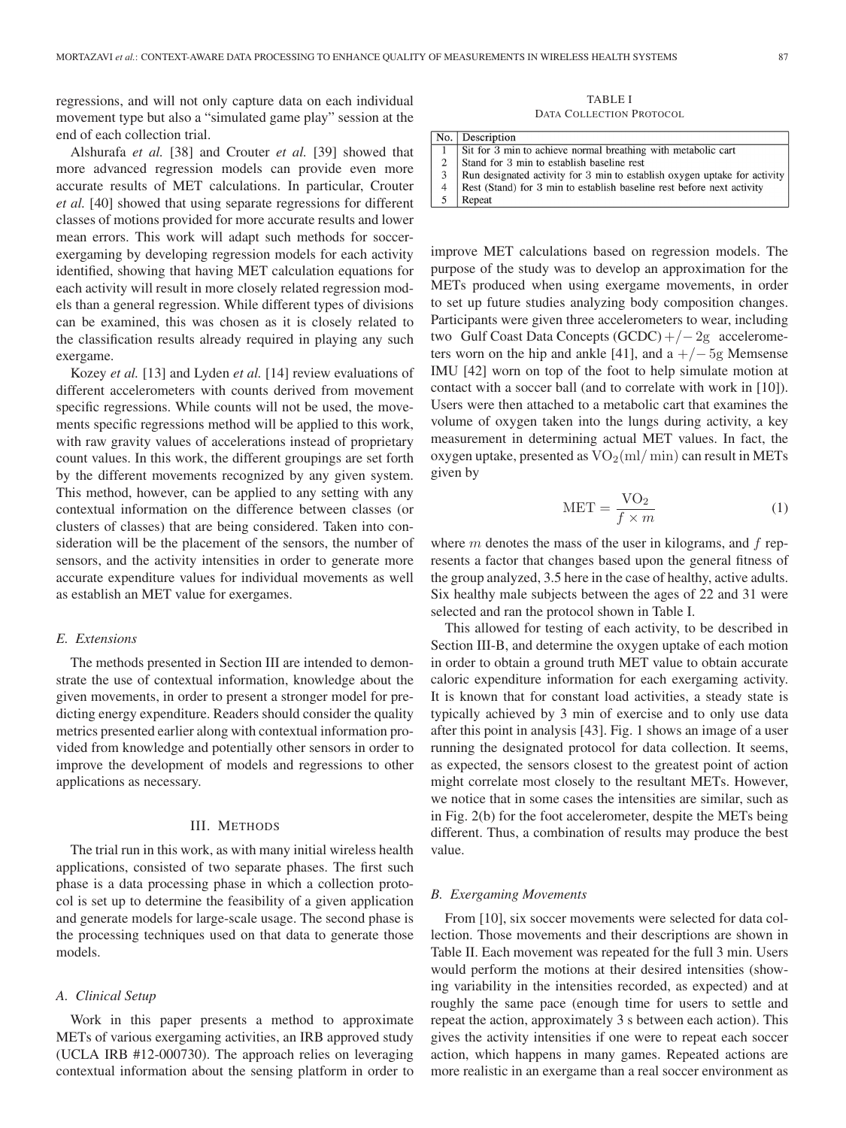regressions, and will not only capture data on each individual movement type but also a "simulated game play" session at the end of each collection trial.

Alshurafa *et al.* [38] and Crouter *et al.* [39] showed that more advanced regression models can provide even more accurate results of MET calculations. In particular, Crouter *et al.* [40] showed that using separate regressions for different classes of motions provided for more accurate results and lower mean errors. This work will adapt such methods for soccerexergaming by developing regression models for each activity identified, showing that having MET calculation equations for each activity will result in more closely related regression models than a general regression. While different types of divisions can be examined, this was chosen as it is closely related to the classification results already required in playing any such exergame.

Kozey *et al.* [13] and Lyden *et al.* [14] review evaluations of different accelerometers with counts derived from movement specific regressions. While counts will not be used, the movements specific regressions method will be applied to this work, with raw gravity values of accelerations instead of proprietary count values. In this work, the different groupings are set forth by the different movements recognized by any given system. This method, however, can be applied to any setting with any contextual information on the difference between classes (or clusters of classes) that are being considered. Taken into consideration will be the placement of the sensors, the number of sensors, and the activity intensities in order to generate more accurate expenditure values for individual movements as well as establish an MET value for exergames.

## *E. Extensions*

The methods presented in Section III are intended to demonstrate the use of contextual information, knowledge about the given movements, in order to present a stronger model for predicting energy expenditure. Readers should consider the quality metrics presented earlier along with contextual information provided from knowledge and potentially other sensors in order to improve the development of models and regressions to other applications as necessary.

#### III. METHODS

The trial run in this work, as with many initial wireless health applications, consisted of two separate phases. The first such phase is a data processing phase in which a collection protocol is set up to determine the feasibility of a given application and generate models for large-scale usage. The second phase is the processing techniques used on that data to generate those models.

# *A. Clinical Setup*

Work in this paper presents a method to approximate METs of various exergaming activities, an IRB approved study (UCLA IRB #12-000730). The approach relies on leveraging contextual information about the sensing platform in order to

TABLE I DATA COLLECTION PROTOCOL

| No. Description                                                           |
|---------------------------------------------------------------------------|
| Sit for 3 min to achieve normal breathing with metabolic cart             |
| Stand for 3 min to establish baseline rest                                |
| Run designated activity for 3 min to establish oxygen uptake for activity |
| Rest (Stand) for 3 min to establish baseline rest before next activity    |
| Repeat                                                                    |

improve MET calculations based on regression models. The purpose of the study was to develop an approximation for the METs produced when using exergame movements, in order to set up future studies analyzing body composition changes. Participants were given three accelerometers to wear, including two Gulf Coast Data Concepts  $(GCDC) + / -2g$  accelerometers worn on the hip and ankle [41], and a  $+/-5g$  Memsense IMU [42] worn on top of the foot to help simulate motion at contact with a soccer ball (and to correlate with work in [10]). Users were then attached to a metabolic cart that examines the volume of oxygen taken into the lungs during activity, a key measurement in determining actual MET values. In fact, the oxygen uptake, presented as  $\rm VO_2(ml/min)$  can result in METs given by

$$
MET = \frac{VO_2}{f \times m} \tag{1}
$$

where  $m$  denotes the mass of the user in kilograms, and  $f$  represents a factor that changes based upon the general fitness of the group analyzed, 3.5 here in the case of healthy, active adults. Six healthy male subjects between the ages of 22 and 31 were selected and ran the protocol shown in Table I.

This allowed for testing of each activity, to be described in Section III-B, and determine the oxygen uptake of each motion in order to obtain a ground truth MET value to obtain accurate caloric expenditure information for each exergaming activity. It is known that for constant load activities, a steady state is typically achieved by 3 min of exercise and to only use data after this point in analysis [43]. Fig. 1 shows an image of a user running the designated protocol for data collection. It seems, as expected, the sensors closest to the greatest point of action might correlate most closely to the resultant METs. However, we notice that in some cases the intensities are similar, such as in Fig. 2(b) for the foot accelerometer, despite the METs being different. Thus, a combination of results may produce the best value.

### *B. Exergaming Movements*

From [10], six soccer movements were selected for data collection. Those movements and their descriptions are shown in Table II. Each movement was repeated for the full 3 min. Users would perform the motions at their desired intensities (showing variability in the intensities recorded, as expected) and at roughly the same pace (enough time for users to settle and repeat the action, approximately 3 s between each action). This gives the activity intensities if one were to repeat each soccer action, which happens in many games. Repeated actions are more realistic in an exergame than a real soccer environment as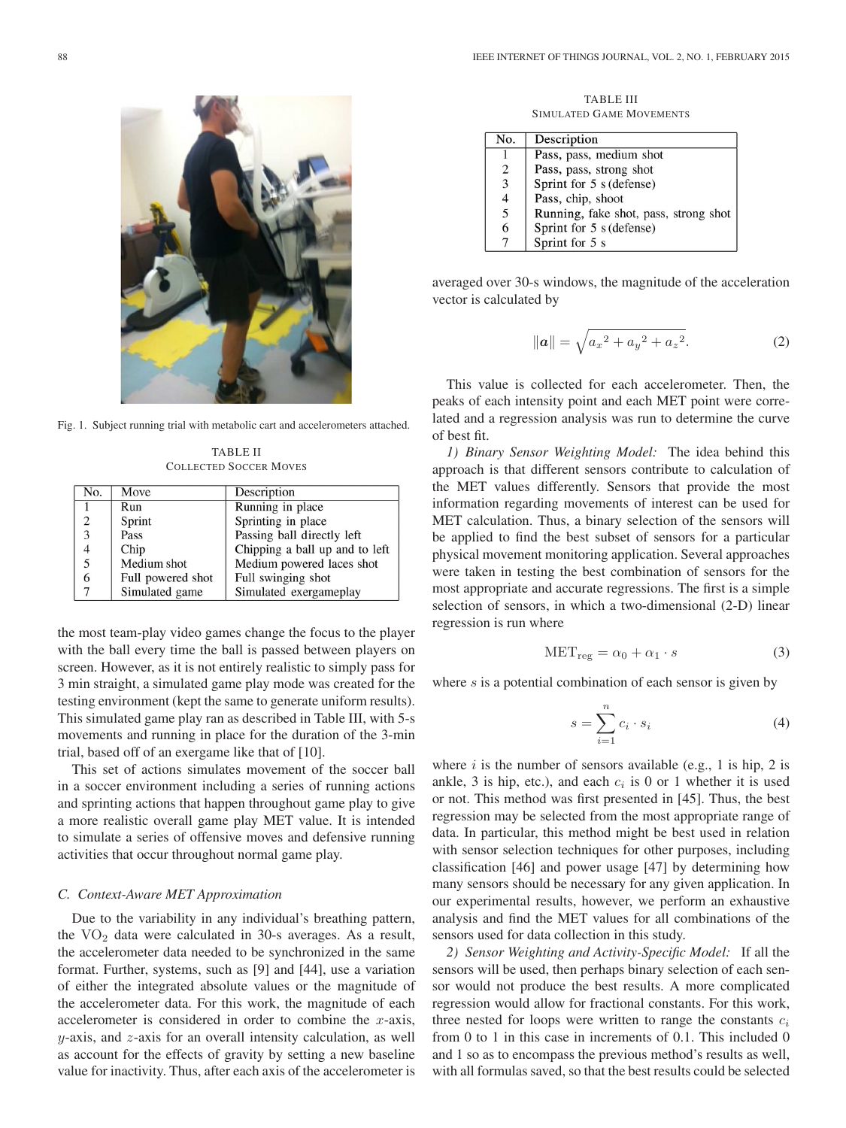

Fig. 1. Subject running trial with metabolic cart and accelerometers attached.

TABLE II COLLECTED SOCCER MOVES

| No.            | Move              | Description                    |
|----------------|-------------------|--------------------------------|
|                | Run               | Running in place               |
| 2              | Sprint            | Sprinting in place             |
| 3              | Pass              | Passing ball directly left     |
| $\overline{4}$ | Chip              | Chipping a ball up and to left |
| 5              | Medium shot       | Medium powered laces shot      |
| 6              | Full powered shot | Full swinging shot             |
| 7              | Simulated game    | Simulated exergameplay         |

the most team-play video games change the focus to the player with the ball every time the ball is passed between players on screen. However, as it is not entirely realistic to simply pass for 3 min straight, a simulated game play mode was created for the testing environment (kept the same to generate uniform results). This simulated game play ran as described in Table III, with 5-s movements and running in place for the duration of the 3-min trial, based off of an exergame like that of [10].

This set of actions simulates movement of the soccer ball in a soccer environment including a series of running actions and sprinting actions that happen throughout game play to give a more realistic overall game play MET value. It is intended to simulate a series of offensive moves and defensive running activities that occur throughout normal game play.

# *C. Context-Aware MET Approximation*

Due to the variability in any individual's breathing pattern, the  $VO<sub>2</sub>$  data were calculated in 30-s averages. As a result, the accelerometer data needed to be synchronized in the same format. Further, systems, such as [9] and [44], use a variation of either the integrated absolute values or the magnitude of the accelerometer data. For this work, the magnitude of each accelerometer is considered in order to combine the  $x$ -axis,  $y$ -axis, and  $z$ -axis for an overall intensity calculation, as well as account for the effects of gravity by setting a new baseline value for inactivity. Thus, after each axis of the accelerometer is

TABLE III SIMULATED GAME MOVEMENTS

| No. | Description                           |
|-----|---------------------------------------|
|     | Pass, pass, medium shot               |
|     | Pass, pass, strong shot               |
| 3   | Sprint for 5 s (defense)              |
|     | Pass, chip, shoot                     |
| 5   | Running, fake shot, pass, strong shot |
| 6   | Sprint for 5 s (defense)              |
|     | Sprint for 5 s                        |

averaged over 30-s windows, the magnitude of the acceleration vector is calculated by

$$
\|\mathbf{a}\| = \sqrt{a_x^2 + a_y^2 + a_z^2}.\tag{2}
$$

This value is collected for each accelerometer. Then, the peaks of each intensity point and each MET point were correlated and a regression analysis was run to determine the curve of best fit.

*1) Binary Sensor Weighting Model:* The idea behind this approach is that different sensors contribute to calculation of the MET values differently. Sensors that provide the most information regarding movements of interest can be used for MET calculation. Thus, a binary selection of the sensors will be applied to find the best subset of sensors for a particular physical movement monitoring application. Several approaches were taken in testing the best combination of sensors for the most appropriate and accurate regressions. The first is a simple selection of sensors, in which a two-dimensional (2-D) linear regression is run where

$$
MET_{reg} = \alpha_0 + \alpha_1 \cdot s \tag{3}
$$

where  $s$  is a potential combination of each sensor is given by

$$
s = \sum_{i=1}^{n} c_i \cdot s_i \tag{4}
$$

where  $i$  is the number of sensors available (e.g., 1 is hip, 2 is ankle, 3 is hip, etc.), and each  $c_i$  is 0 or 1 whether it is used or not. This method was first presented in [45]. Thus, the best regression may be selected from the most appropriate range of data. In particular, this method might be best used in relation with sensor selection techniques for other purposes, including classification [46] and power usage [47] by determining how many sensors should be necessary for any given application. In our experimental results, however, we perform an exhaustive analysis and find the MET values for all combinations of the sensors used for data collection in this study.

*2) Sensor Weighting and Activity-Specific Model:* If all the sensors will be used, then perhaps binary selection of each sensor would not produce the best results. A more complicated regression would allow for fractional constants. For this work, three nested for loops were written to range the constants  $c_i$ from 0 to 1 in this case in increments of 0.1. This included 0 and 1 so as to encompass the previous method's results as well, with all formulas saved, so that the best results could be selected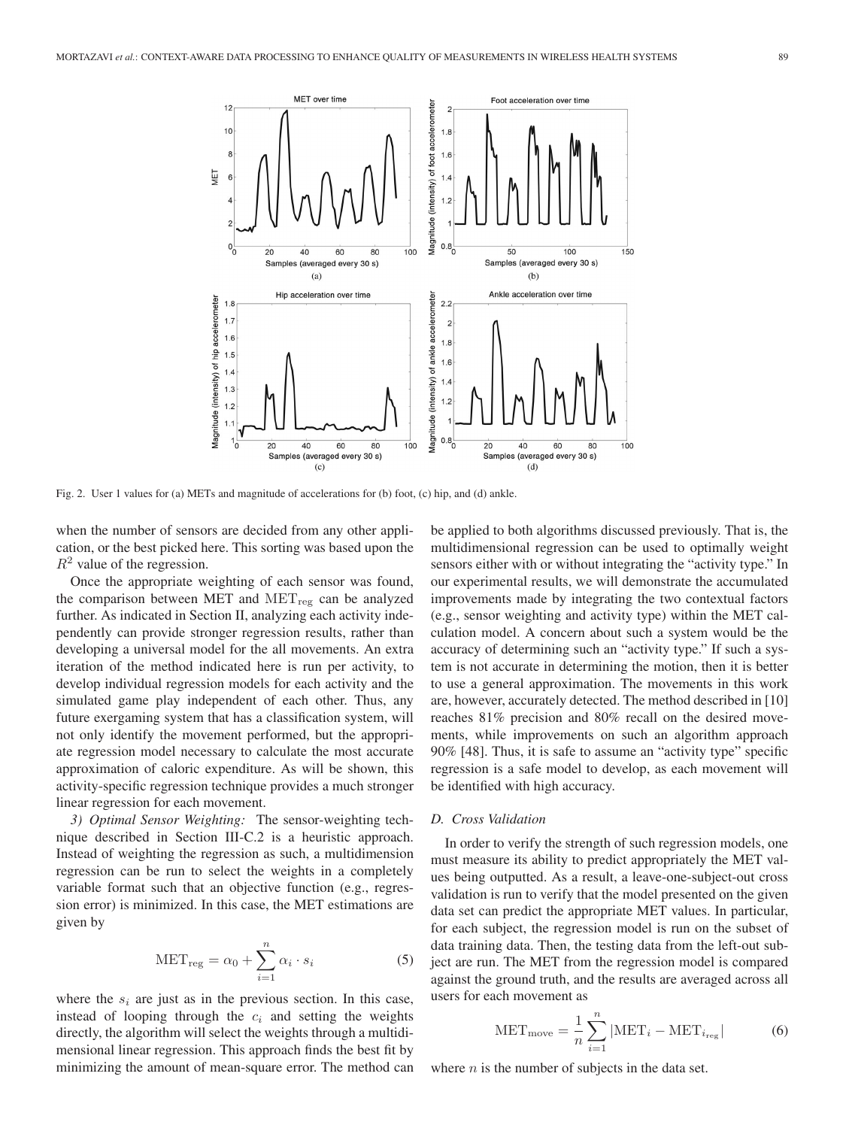

Fig. 2. User 1 values for (a) METs and magnitude of accelerations for (b) foot, (c) hip, and (d) ankle.

when the number of sensors are decided from any other application, or the best picked here. This sorting was based upon the  $R<sup>2</sup>$  value of the regression.

Once the appropriate weighting of each sensor was found, the comparison between MET and  $MET_{reg}$  can be analyzed further. As indicated in Section II, analyzing each activity independently can provide stronger regression results, rather than developing a universal model for the all movements. An extra iteration of the method indicated here is run per activity, to develop individual regression models for each activity and the simulated game play independent of each other. Thus, any future exergaming system that has a classification system, will not only identify the movement performed, but the appropriate regression model necessary to calculate the most accurate approximation of caloric expenditure. As will be shown, this activity-specific regression technique provides a much stronger linear regression for each movement.

*3) Optimal Sensor Weighting:* The sensor-weighting technique described in Section III-C.2 is a heuristic approach. Instead of weighting the regression as such, a multidimension regression can be run to select the weights in a completely variable format such that an objective function (e.g., regression error) is minimized. In this case, the MET estimations are given by

$$
MET_{reg} = \alpha_0 + \sum_{i=1}^{n} \alpha_i \cdot s_i
$$
 (5)

where the  $s_i$  are just as in the previous section. In this case, instead of looping through the c*<sup>i</sup>* and setting the weights directly, the algorithm will select the weights through a multidimensional linear regression. This approach finds the best fit by minimizing the amount of mean-square error. The method can be applied to both algorithms discussed previously. That is, the multidimensional regression can be used to optimally weight sensors either with or without integrating the "activity type." In our experimental results, we will demonstrate the accumulated improvements made by integrating the two contextual factors (e.g., sensor weighting and activity type) within the MET calculation model. A concern about such a system would be the accuracy of determining such an "activity type." If such a system is not accurate in determining the motion, then it is better to use a general approximation. The movements in this work are, however, accurately detected. The method described in [10] reaches 81% precision and 80% recall on the desired movements, while improvements on such an algorithm approach 90% [48]. Thus, it is safe to assume an "activity type" specific regression is a safe model to develop, as each movement will be identified with high accuracy.

## *D. Cross Validation*

In order to verify the strength of such regression models, one must measure its ability to predict appropriately the MET values being outputted. As a result, a leave-one-subject-out cross validation is run to verify that the model presented on the given data set can predict the appropriate MET values. In particular, for each subject, the regression model is run on the subset of data training data. Then, the testing data from the left-out subject are run. The MET from the regression model is compared against the ground truth, and the results are averaged across all users for each movement as

$$
METmove = \frac{1}{n} \sum_{i=1}^{n} |MET_i - MET_{i_{reg}}|
$$
 (6)

where  $n$  is the number of subjects in the data set.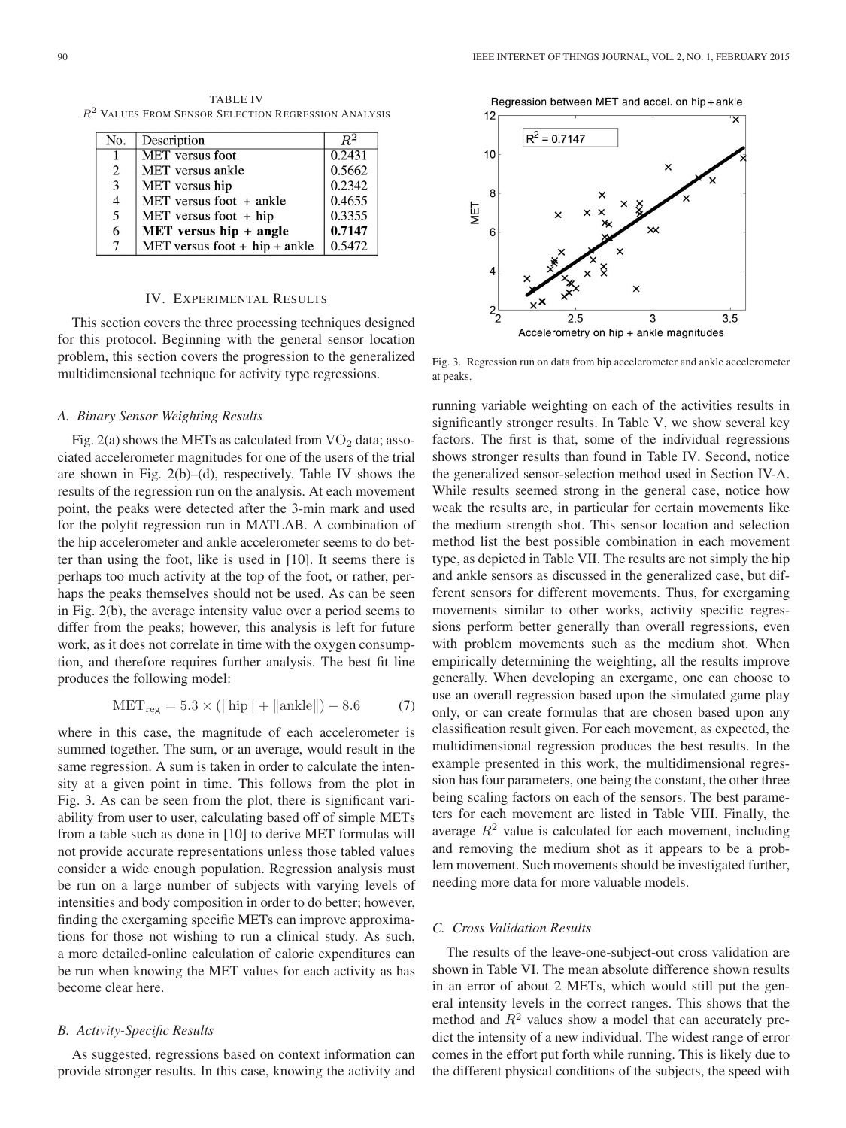TABLE IV *R*<sup>2</sup> VALUES FROM SENSOR SELECTION REGRESSION ANALYSIS

| No.            | Description                     | R2     |
|----------------|---------------------------------|--------|
|                | MET versus foot                 | 0.2431 |
| 2              | MET versus ankle                | 0.5662 |
| 3              | MET versus hip                  | 0.2342 |
| $\overline{4}$ | MET versus foot $+$ ankle       | 0.4655 |
| 5              | MET versus foot $+$ hip         | 0.3355 |
| 6              | MET versus hip + angle          | 0.7147 |
| $\tau$         | MET versus foot + $hip + ankle$ | 0.5472 |

# IV. EXPERIMENTAL RESULTS

This section covers the three processing techniques designed for this protocol. Beginning with the general sensor location problem, this section covers the progression to the generalized multidimensional technique for activity type regressions.

## *A. Binary Sensor Weighting Results*

Fig. 2(a) shows the METs as calculated from  $VO<sub>2</sub>$  data; associated accelerometer magnitudes for one of the users of the trial are shown in Fig. 2(b)–(d), respectively. Table IV shows the results of the regression run on the analysis. At each movement point, the peaks were detected after the 3-min mark and used for the polyfit regression run in MATLAB. A combination of the hip accelerometer and ankle accelerometer seems to do better than using the foot, like is used in [10]. It seems there is perhaps too much activity at the top of the foot, or rather, perhaps the peaks themselves should not be used. As can be seen in Fig. 2(b), the average intensity value over a period seems to differ from the peaks; however, this analysis is left for future work, as it does not correlate in time with the oxygen consumption, and therefore requires further analysis. The best fit line produces the following model:

$$
MET_{reg} = 5.3 \times (||hip|| + ||ankle||) - 8.6
$$
 (7)

where in this case, the magnitude of each accelerometer is summed together. The sum, or an average, would result in the same regression. A sum is taken in order to calculate the intensity at a given point in time. This follows from the plot in Fig. 3. As can be seen from the plot, there is significant variability from user to user, calculating based off of simple METs from a table such as done in [10] to derive MET formulas will not provide accurate representations unless those tabled values consider a wide enough population. Regression analysis must be run on a large number of subjects with varying levels of intensities and body composition in order to do better; however, finding the exergaming specific METs can improve approximations for those not wishing to run a clinical study. As such, a more detailed-online calculation of caloric expenditures can be run when knowing the MET values for each activity as has become clear here.

#### *B. Activity-Specific Results*

As suggested, regressions based on context information can provide stronger results. In this case, knowing the activity and



Fig. 3. Regression run on data from hip accelerometer and ankle accelerometer at peaks.

running variable weighting on each of the activities results in significantly stronger results. In Table V, we show several key factors. The first is that, some of the individual regressions shows stronger results than found in Table IV. Second, notice the generalized sensor-selection method used in Section IV-A. While results seemed strong in the general case, notice how weak the results are, in particular for certain movements like the medium strength shot. This sensor location and selection method list the best possible combination in each movement type, as depicted in Table VII. The results are not simply the hip and ankle sensors as discussed in the generalized case, but different sensors for different movements. Thus, for exergaming movements similar to other works, activity specific regressions perform better generally than overall regressions, even with problem movements such as the medium shot. When empirically determining the weighting, all the results improve generally. When developing an exergame, one can choose to use an overall regression based upon the simulated game play only, or can create formulas that are chosen based upon any classification result given. For each movement, as expected, the multidimensional regression produces the best results. In the example presented in this work, the multidimensional regression has four parameters, one being the constant, the other three being scaling factors on each of the sensors. The best parameters for each movement are listed in Table VIII. Finally, the average  $R^2$  value is calculated for each movement, including and removing the medium shot as it appears to be a problem movement. Such movements should be investigated further, needing more data for more valuable models.

#### *C. Cross Validation Results*

The results of the leave-one-subject-out cross validation are shown in Table VI. The mean absolute difference shown results in an error of about 2 METs, which would still put the general intensity levels in the correct ranges. This shows that the method and  $R<sup>2</sup>$  values show a model that can accurately predict the intensity of a new individual. The widest range of error comes in the effort put forth while running. This is likely due to the different physical conditions of the subjects, the speed with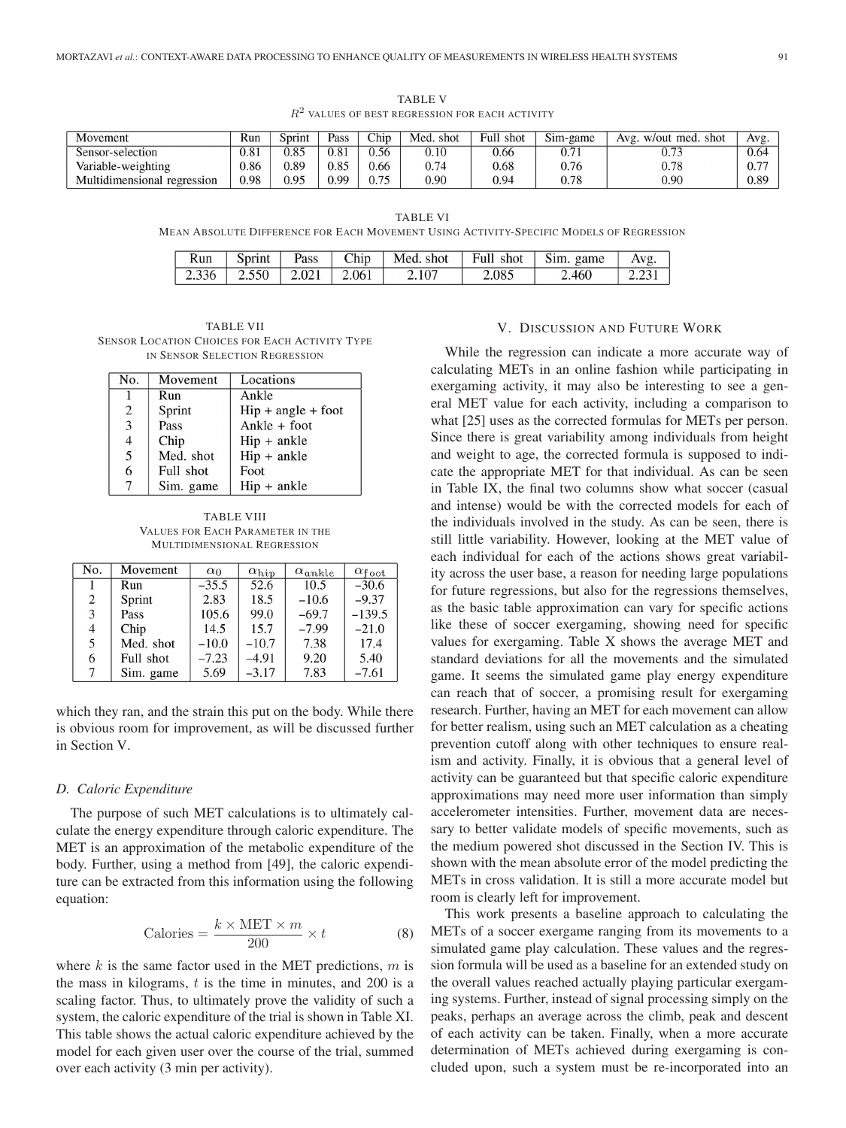| Movement                    | Run  | Sprint      | Pass | Chip | Med.<br>shot | Full<br>shot | Sim-game  | Avg. w/out med. shot | Avg.         |
|-----------------------------|------|-------------|------|------|--------------|--------------|-----------|----------------------|--------------|
| Sensor-selection            | 0.81 | 1.85        | 0.81 | J.56 | J.10         | ).66         | ∪. ≀      |                      | 0.64         |
| Variable-weighting          | 0.86 | <b>J.89</b> | 0.85 | 0.66 |              | ).68         | 0.76      | 0.78                 | 0.77<br>v. 1 |
| Multidimensional regression | 0.98 | ).95        | 0.99 | 0.75 | 0.90         | 0.94         | $_{0.78}$ | $_{0.90}$            | 0.89         |

TABLE V  $R^2$  values of best regression for each activity

TABLE VI

MEAN ABSOLUTE DIFFERENCE FOR EACH MOVEMENT USING ACTIVITY-SPECIFIC MODELS OF REGRESSION

| Run |  |                                                 |       | Sprint   Pass   Chip   Med. shot   Full shot   Sim. game   Avg. |  |
|-----|--|-------------------------------------------------|-------|-----------------------------------------------------------------|--|
|     |  | $2.336$   $2.550$   $2.021$   $2.061$   $2.107$ | 2.085 | 2.460                                                           |  |

TABLE VII SENSOR LOCATION CHOICES FOR EACH ACTIVITY TYPE IN SENSOR SELECTION REGRESSION

| No.                      | Movement  | Locations                   |
|--------------------------|-----------|-----------------------------|
| 1                        | Run       | Ankle                       |
| 2                        | Sprint    | $\text{Hip}$ + angle + foot |
| 3                        | Pass      | Ankle $+$ foot              |
| $\overline{\mathcal{A}}$ | Chip      | $\text{Hip}$ + ankle        |
| 5                        | Med. shot | $Hip + ankle$               |
| 6                        | Full shot | Foot                        |
|                          | Sim. game | $\text{Hip} + \text{ankle}$ |

TABLE VIII VALUES FOR EACH PARAMETER IN THE MULTIDIMENSIONAL REGRESSION

| No. | Movement  | $\alpha_0$ | $\alpha_{\rm{hip}}$ | $\alpha_{ankle}$ | $\alpha_{\text{foot}}$ |
|-----|-----------|------------|---------------------|------------------|------------------------|
|     | Run       | $-35.5$    | 52.6                | 10.5             | $-30.6$                |
| 2   | Sprint    | 2.83       | 18.5                | $-10.6$          | $-9.37$                |
| 3   | Pass      | 105.6      | 99.0                | $-69.7$          | $-139.5$               |
| 4   | Chip      | 14.5       | 15.7                | $-7.99$          | $-21.0$                |
| 5   | Med. shot | $-10.0$    | $-10.7$             | 7.38             | 17.4                   |
| 6   | Full shot | $-7.23$    | $-4.91$             | 9.20             | 5.40                   |
|     | Sim. game | 5.69       | $-3.17$             | 7.83             | $-7.61$                |

which they ran, and the strain this put on the body. While there is obvious room for improvement, as will be discussed further in Section V.

## *D. Caloric Expenditure*

The purpose of such MET calculations is to ultimately calculate the energy expenditure through caloric expenditure. The MET is an approximation of the metabolic expenditure of the body. Further, using a method from [49], the caloric expenditure can be extracted from this information using the following equation:

Calories = 
$$
\frac{k \times \text{MET} \times m}{200} \times t
$$
 (8)

where  $k$  is the same factor used in the MET predictions,  $m$  is the mass in kilograms,  $t$  is the time in minutes, and 200 is a scaling factor. Thus, to ultimately prove the validity of such a system, the caloric expenditure of the trial is shown in Table XI. This table shows the actual caloric expenditure achieved by the model for each given user over the course of the trial, summed over each activity (3 min per activity).

# V. DISCUSSION AND FUTURE WORK

While the regression can indicate a more accurate way of calculating METs in an online fashion while participating in exergaming activity, it may also be interesting to see a general MET value for each activity, including a comparison to what [25] uses as the corrected formulas for METs per person. Since there is great variability among individuals from height and weight to age, the corrected formula is supposed to indicate the appropriate MET for that individual. As can be seen in Table IX, the final two columns show what soccer (casual and intense) would be with the corrected models for each of the individuals involved in the study. As can be seen, there is still little variability. However, looking at the MET value of each individual for each of the actions shows great variability across the user base, a reason for needing large populations for future regressions, but also for the regressions themselves, as the basic table approximation can vary for specific actions like these of soccer exergaming, showing need for specific values for exergaming. Table X shows the average MET and standard deviations for all the movements and the simulated game. It seems the simulated game play energy expenditure can reach that of soccer, a promising result for exergaming research. Further, having an MET for each movement can allow for better realism, using such an MET calculation as a cheating prevention cutoff along with other techniques to ensure realism and activity. Finally, it is obvious that a general level of activity can be guaranteed but that specific caloric expenditure approximations may need more user information than simply accelerometer intensities. Further, movement data are necessary to better validate models of specific movements, such as the medium powered shot discussed in the Section IV. This is shown with the mean absolute error of the model predicting the METs in cross validation. It is still a more accurate model but room is clearly left for improvement.

This work presents a baseline approach to calculating the METs of a soccer exergame ranging from its movements to a simulated game play calculation. These values and the regression formula will be used as a baseline for an extended study on the overall values reached actually playing particular exergaming systems. Further, instead of signal processing simply on the peaks, perhaps an average across the climb, peak and descent of each activity can be taken. Finally, when a more accurate determination of METs achieved during exergaming is concluded upon, such a system must be re-incorporated into an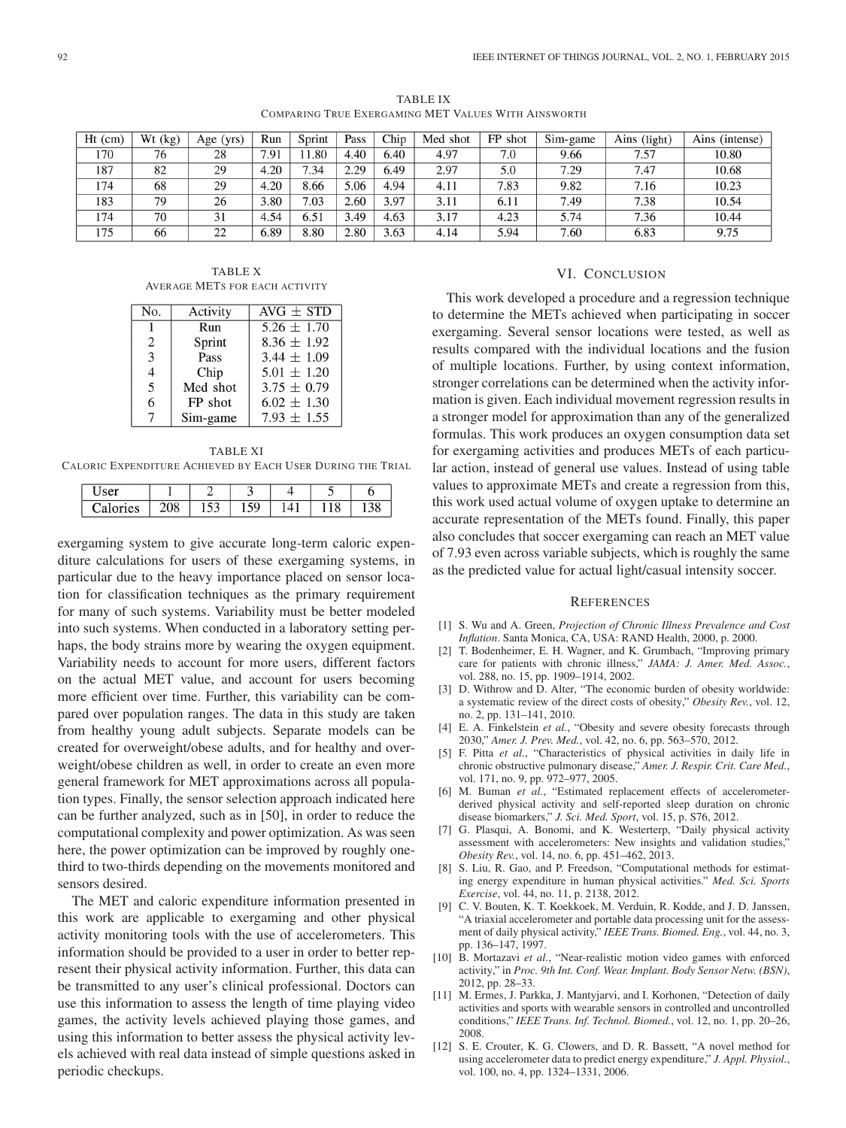| $Ht$ (cm) | $Wt$ (kg) | Age (yrs) | Run  | Sprint | Pass | Chip | Med shot | FP shot | Sim-game | Ains (light) | Ains (intense) |
|-----------|-----------|-----------|------|--------|------|------|----------|---------|----------|--------------|----------------|
| 170       | 76        | 28        | 7.91 | 1.80   | 4.40 | 6.40 | 4.97     | 7.0     | 9.66     | 7.57         | 10.80          |
| 187       | 82        | 29        | 4.20 | 7.34   | 2.29 | 6.49 | 2.97     | 5.0     | 7.29     | 7.47         | 10.68          |
| 174       | 68        | 29        | 4.20 | 8.66   | 5.06 | 4.94 | 4.11     | 7.83    | 9.82     | 7.16         | 10.23          |
| 183       | 79        | 26        | 3.80 | 7.03   | 2.60 | 3.97 | 3.11     | 6.11    | 7.49     | 7.38         | 10.54          |
| 174       | 70        | 31        | 4.54 | 6.51   | 3.49 | 4.63 | 3.17     | 4.23    | 5.74     | 7.36         | 10.44          |
| 175       | 66        | 22        | 6.89 | 8.80   | 2.80 | 3.63 | 4.14     | 5.94    | 7.60     | 6.83         | 9.75           |

TABLE IX COMPARING TRUE EXERGAMING MET VALUES WITH AINSWORTH

TABLE X AVERAGE METS FOR EACH ACTIVITY

| No. | Activity | $AVG \pm STD$   |
|-----|----------|-----------------|
| 1   | Run      | $5.26 \pm 1.70$ |
| 2   | Sprint   | $8.36 \pm 1.92$ |
| 3   | Pass     | $3.44 \pm 1.09$ |
| 4   | Chip     | $5.01 + 1.20$   |
| 5   | Med shot | $3.75 \pm 0.79$ |
| 6   | FP shot  | $6.02 \pm 1.30$ |
| 7   | Sim-game | $7.93 \pm 1.55$ |

TABLE XI CALORIC EXPENDITURE ACHIEVED BY EACH USER DURING THE TRIAL

|      |               |               |               |   | ◟ |
|------|---------------|---------------|---------------|---|---|
| ries | 200<br>$\cup$ | $\sim$<br>ب پ | $\sim$ $\sim$ | ◡ |   |

exergaming system to give accurate long-term caloric expenditure calculations for users of these exergaming systems, in particular due to the heavy importance placed on sensor location for classification techniques as the primary requirement for many of such systems. Variability must be better modeled into such systems. When conducted in a laboratory setting perhaps, the body strains more by wearing the oxygen equipment. Variability needs to account for more users, different factors on the actual MET value, and account for users becoming more efficient over time. Further, this variability can be compared over population ranges. The data in this study are taken from healthy young adult subjects. Separate models can be created for overweight/obese adults, and for healthy and overweight/obese children as well, in order to create an even more general framework for MET approximations across all population types. Finally, the sensor selection approach indicated here can be further analyzed, such as in [50], in order to reduce the computational complexity and power optimization. As was seen here, the power optimization can be improved by roughly onethird to two-thirds depending on the movements monitored and sensors desired.

The MET and caloric expenditure information presented in this work are applicable to exergaming and other physical activity monitoring tools with the use of accelerometers. This information should be provided to a user in order to better represent their physical activity information. Further, this data can be transmitted to any user's clinical professional. Doctors can use this information to assess the length of time playing video games, the activity levels achieved playing those games, and using this information to better assess the physical activity levels achieved with real data instead of simple questions asked in periodic checkups.

### VI. CONCLUSION

This work developed a procedure and a regression technique to determine the METs achieved when participating in soccer exergaming. Several sensor locations were tested, as well as results compared with the individual locations and the fusion of multiple locations. Further, by using context information, stronger correlations can be determined when the activity information is given. Each individual movement regression results in a stronger model for approximation than any of the generalized formulas. This work produces an oxygen consumption data set for exergaming activities and produces METs of each particular action, instead of general use values. Instead of using table values to approximate METs and create a regression from this, this work used actual volume of oxygen uptake to determine an accurate representation of the METs found. Finally, this paper also concludes that soccer exergaming can reach an MET value of 7.93 even across variable subjects, which is roughly the same as the predicted value for actual light/casual intensity soccer.

#### **REFERENCES**

- [1] S. Wu and A. Green, *Projection of Chronic Illness Prevalence and Cost Inflation*. Santa Monica, CA, USA: RAND Health, 2000, p. 2000.
- [2] T. Bodenheimer, E. H. Wagner, and K. Grumbach, "Improving primary care for patients with chronic illness," *JAMA: J. Amer. Med. Assoc.*, vol. 288, no. 15, pp. 1909–1914, 2002.
- [3] D. Withrow and D. Alter, "The economic burden of obesity worldwide: a systematic review of the direct costs of obesity," *Obesity Rev.*, vol. 12, no. 2, pp. 131–141, 2010.
- [4] E. A. Finkelstein *et al.*, "Obesity and severe obesity forecasts through 2030," *Amer. J. Prev. Med.*, vol. 42, no. 6, pp. 563–570, 2012.
- [5] F. Pitta *et al.*, "Characteristics of physical activities in daily life in chronic obstructive pulmonary disease," *Amer. J. Respir. Crit. Care Med.*, vol. 171, no. 9, pp. 972–977, 2005.
- [6] M. Buman *et al.*, "Estimated replacement effects of accelerometerderived physical activity and self-reported sleep duration on chronic disease biomarkers," *J. Sci. Med. Sport*, vol. 15, p. S76, 2012.
- [7] G. Plasqui, A. Bonomi, and K. Westerterp, "Daily physical activity assessment with accelerometers: New insights and validation studies," *Obesity Rev.*, vol. 14, no. 6, pp. 451–462, 2013.
- [8] S. Liu, R. Gao, and P. Freedson, "Computational methods for estimating energy expenditure in human physical activities." *Med. Sci. Sports Exercise*, vol. 44, no. 11, p. 2138, 2012.
- [9] C. V. Bouten, K. T. Koekkoek, M. Verduin, R. Kodde, and J. D. Janssen, "A triaxial accelerometer and portable data processing unit for the assessment of daily physical activity," *IEEE Trans. Biomed. Eng.*, vol. 44, no. 3, pp. 136–147, 1997.
- [10] B. Mortazavi *et al.*, "Near-realistic motion video games with enforced activity," in *Proc. 9th Int. Conf. Wear. Implant. Body Sensor Netw. (BSN)*, 2012, pp. 28–33.
- [11] M. Ermes, J. Parkka, J. Mantyjarvi, and I. Korhonen, "Detection of daily activities and sports with wearable sensors in controlled and uncontrolled conditions," *IEEE Trans. Inf. Technol. Biomed.*, vol. 12, no. 1, pp. 20–26, 2008.
- [12] S. E. Crouter, K. G. Clowers, and D. R. Bassett, "A novel method for using accelerometer data to predict energy expenditure," *J. Appl. Physiol.*, vol. 100, no. 4, pp. 1324–1331, 2006.